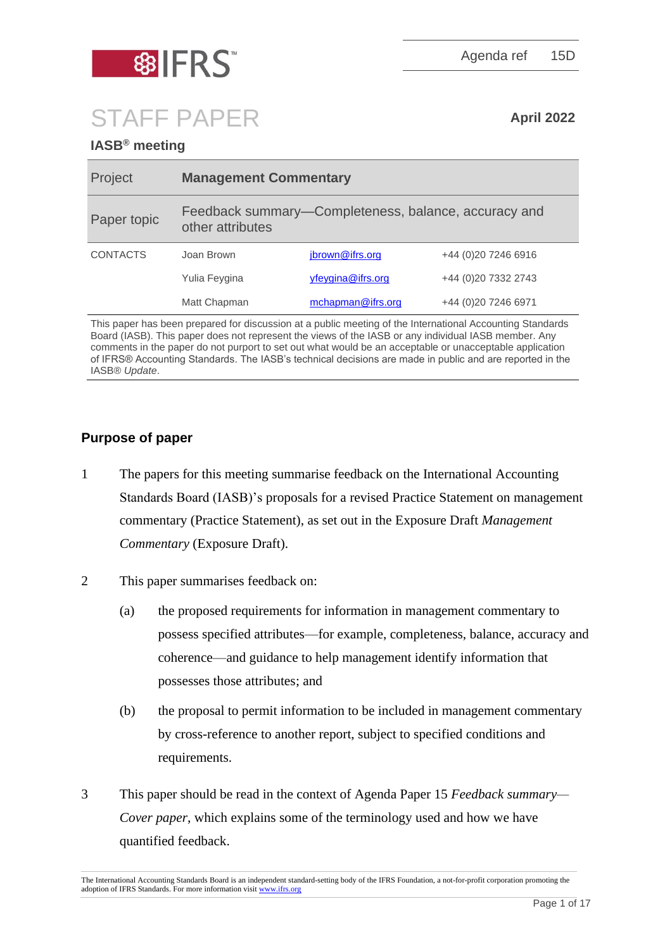

Agenda ref 15D

# STAFF PAPER **April <sup>2022</sup>**

# **IASB® meeting**

| Project         | <b>Management Commentary</b>                                             |                   |                      |
|-----------------|--------------------------------------------------------------------------|-------------------|----------------------|
| Paper topic     | Feedback summary-Completeness, balance, accuracy and<br>other attributes |                   |                      |
| <b>CONTACTS</b> | Joan Brown                                                               | jbrown@ifrs.org   | +44 (0) 20 7246 6916 |
|                 | Yulia Feygina                                                            | yfeygina@ifrs.org | +44 (0)20 7332 2743  |
|                 | Matt Chapman                                                             | mchapman@ifrs.org | +44 (0) 20 7246 6971 |

This paper has been prepared for discussion at a public meeting of the International Accounting Standards Board (IASB). This paper does not represent the views of the IASB or any individual IASB member. Any comments in the paper do not purport to set out what would be an acceptable or unacceptable application of IFRS® Accounting Standards. The IASB's technical decisions are made in public and are reported in the IASB® *Update*.

# **Purpose of paper**

- 1 The papers for this meeting summarise feedback on the International Accounting Standards Board (IASB)'s proposals for a revised Practice Statement on management commentary (Practice Statement), as set out in the Exposure Draft *Management Commentary* (Exposure Draft).
- 2 This paper summarises feedback on:
	- (a) the proposed requirements for information in management commentary to possess specified attributes—for example, completeness, balance, accuracy and coherence—and guidance to help management identify information that possesses those attributes; and
	- (b) the proposal to permit information to be included in management commentary by cross-reference to another report, subject to specified conditions and requirements.
- 3 This paper should be read in the context of Agenda Paper 15 *Feedback summary— Cover paper*, which explains some of the terminology used and how we have quantified feedback.

The International Accounting Standards Board is an independent standard-setting body of the IFRS Foundation, a not-for-profit corporation promoting the adoption of IFRS Standards. For more information visi[t www.ifrs.org](http://www.ifrs.org/)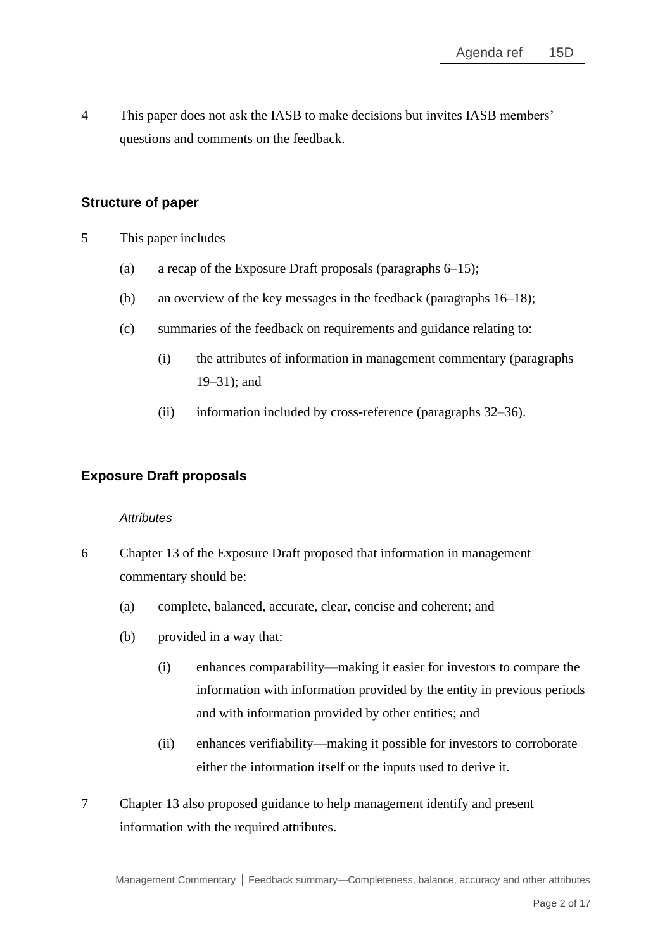4 This paper does not ask the IASB to make decisions but invites IASB members' questions and comments on the feedback.

# **Structure of paper**

- 5 This paper includes
	- (a) a recap of the Exposure Draft proposals (paragraphs [6](#page-1-0)[–15\)](#page-4-0);
	- (b) an overview of the key messages in the feedback (paragraphs [16](#page-5-0)[–18\)](#page-5-1);
	- (c) summaries of the feedback on requirements and guidance relating to:
		- (i) the attributes of information in management commentary (paragraphs [19](#page-5-2)[–31\)](#page-12-0); and
		- (ii) information included by cross-reference (paragraphs [32](#page-13-0)[–36\)](#page-15-0).

# **Exposure Draft proposals**

#### *Attributes*

- <span id="page-1-0"></span>6 Chapter 13 of the Exposure Draft proposed that information in management commentary should be:
	- (a) complete, balanced, accurate, clear, concise and coherent; and
	- (b) provided in a way that:
		- (i) enhances comparability—making it easier for investors to compare the information with information provided by the entity in previous periods and with information provided by other entities; and
		- (ii) enhances verifiability—making it possible for investors to corroborate either the information itself or the inputs used to derive it.
- 7 Chapter 13 also proposed guidance to help management identify and present information with the required attributes.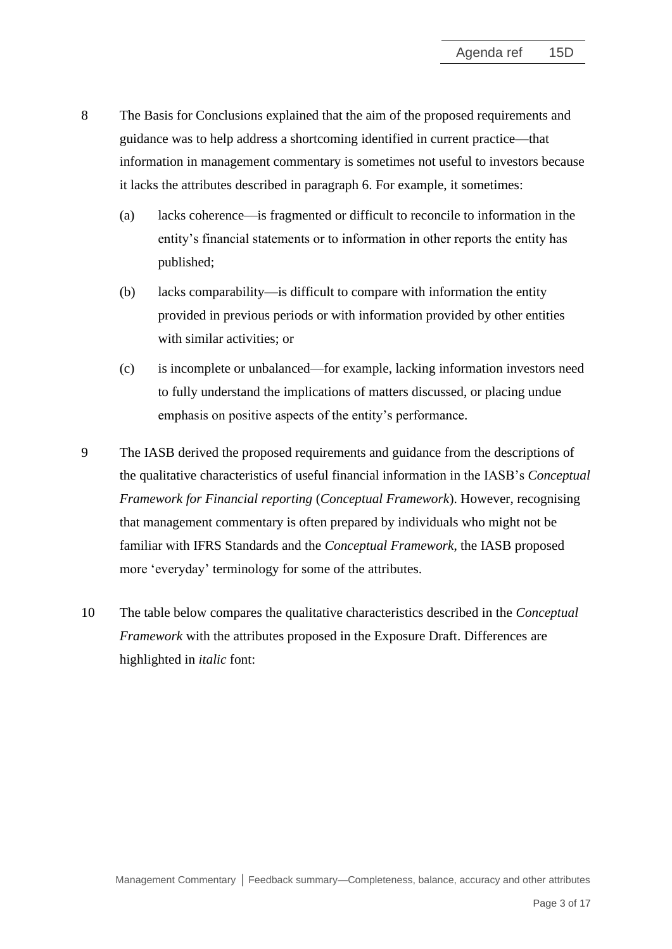- <span id="page-2-0"></span>8 The Basis for Conclusions explained that the aim of the proposed requirements and guidance was to help address a shortcoming identified in current practice—that information in management commentary is sometimes not useful to investors because it lacks the attributes described in paragraph [6.](#page-1-0) For example, it sometimes:
	- (a) lacks coherence—is fragmented or difficult to reconcile to information in the entity's financial statements or to information in other reports the entity has published;
	- (b) lacks comparability—is difficult to compare with information the entity provided in previous periods or with information provided by other entities with similar activities; or
	- (c) is incomplete or unbalanced—for example, lacking information investors need to fully understand the implications of matters discussed, or placing undue emphasis on positive aspects of the entity's performance.
- 9 The IASB derived the proposed requirements and guidance from the descriptions of the qualitative characteristics of useful financial information in the IASB's *Conceptual Framework for Financial reporting* (*Conceptual Framework*). However, recognising that management commentary is often prepared by individuals who might not be familiar with IFRS Standards and the *Conceptual Framework*, the IASB proposed more 'everyday' terminology for some of the attributes.
- 10 The table below compares the qualitative characteristics described in the *Conceptual Framework* with the attributes proposed in the Exposure Draft. Differences are highlighted in *italic* font: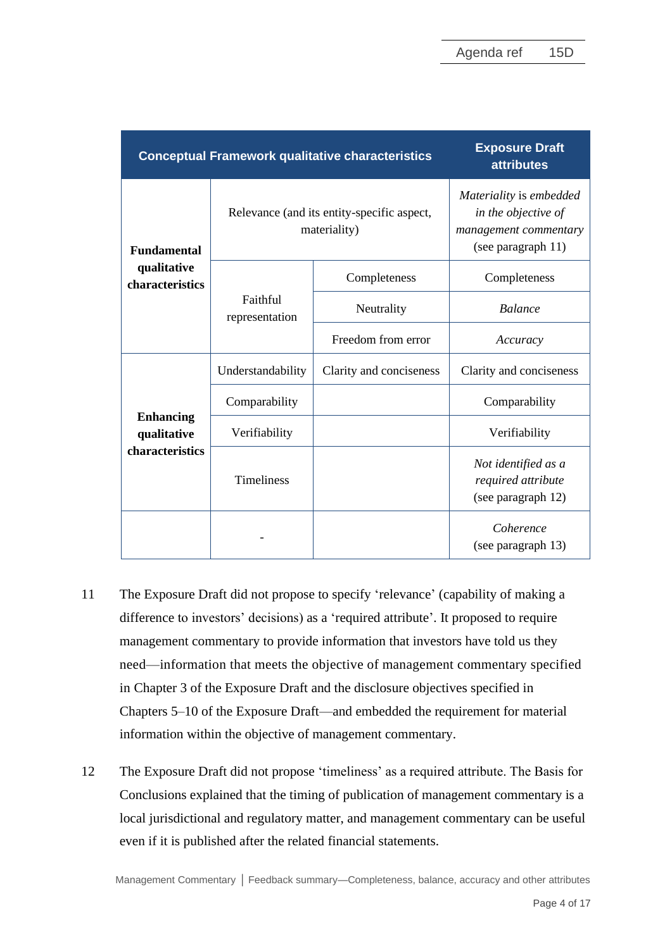| <b>Conceptual Framework qualitative characteristics</b> | <b>Exposure Draft</b><br><b>attributes</b>                 |                         |                                                                                               |
|---------------------------------------------------------|------------------------------------------------------------|-------------------------|-----------------------------------------------------------------------------------------------|
| <b>Fundamental</b>                                      | Relevance (and its entity-specific aspect,<br>materiality) |                         | Materiality is embedded<br>in the objective of<br>management commentary<br>(see paragraph 11) |
| qualitative<br>characteristics                          | Faithful<br>representation                                 | Completeness            | Completeness                                                                                  |
|                                                         |                                                            | Neutrality              | <b>Balance</b>                                                                                |
|                                                         |                                                            | Freedom from error      | Accuracy                                                                                      |
| <b>Enhancing</b><br>qualitative<br>characteristics      | Understandability                                          | Clarity and conciseness | Clarity and conciseness                                                                       |
|                                                         | Comparability                                              |                         | Comparability                                                                                 |
|                                                         | Verifiability                                              |                         | Verifiability                                                                                 |
|                                                         | <b>Timeliness</b>                                          |                         | Not identified as a<br>required attribute<br>(see paragraph 12)                               |
|                                                         |                                                            |                         | Coherence<br>(see paragraph 13)                                                               |

- <span id="page-3-0"></span>11 The Exposure Draft did not propose to specify 'relevance' (capability of making a difference to investors' decisions) as a 'required attribute'. It proposed to require management commentary to provide information that investors have told us they need—information that meets the objective of management commentary specified in Chapter 3 of the Exposure Draft and the disclosure objectives specified in Chapters 5–10 of the Exposure Draft—and embedded the requirement for material information within the objective of management commentary.
- <span id="page-3-1"></span>12 The Exposure Draft did not propose 'timeliness' as a required attribute. The Basis for Conclusions explained that the timing of publication of management commentary is a local jurisdictional and regulatory matter, and management commentary can be useful even if it is published after the related financial statements.

Management Commentary **│** Feedback summary—Completeness, balance, accuracy and other attributes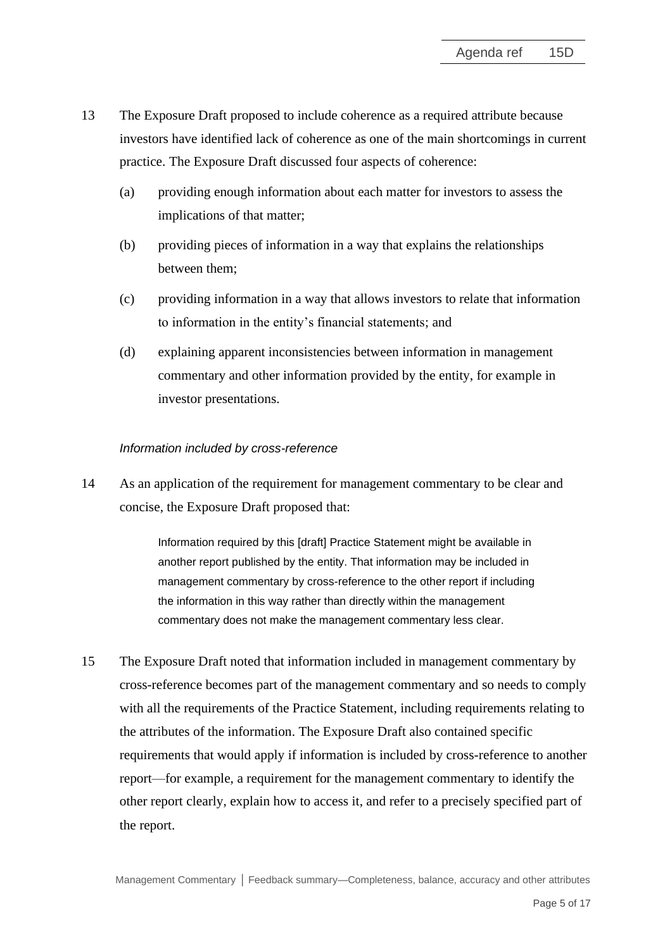- <span id="page-4-1"></span>13 The Exposure Draft proposed to include coherence as a required attribute because investors have identified lack of coherence as one of the main shortcomings in current practice. The Exposure Draft discussed four aspects of coherence:
	- (a) providing enough information about each matter for investors to assess the implications of that matter;
	- (b) providing pieces of information in a way that explains the relationships between them;
	- (c) providing information in a way that allows investors to relate that information to information in the entity's financial statements; and
	- (d) explaining apparent inconsistencies between information in management commentary and other information provided by the entity, for example in investor presentations.

# *Information included by cross-reference*

14 As an application of the requirement for management commentary to be clear and concise, the Exposure Draft proposed that:

> Information required by this [draft] Practice Statement might be available in another report published by the entity. That information may be included in management commentary by cross-reference to the other report if including the information in this way rather than directly within the management commentary does not make the management commentary less clear.

<span id="page-4-0"></span>15 The Exposure Draft noted that information included in management commentary by cross-reference becomes part of the management commentary and so needs to comply with all the requirements of the Practice Statement, including requirements relating to the attributes of the information. The Exposure Draft also contained specific requirements that would apply if information is included by cross-reference to another report—for example, a requirement for the management commentary to identify the other report clearly, explain how to access it, and refer to a precisely specified part of the report.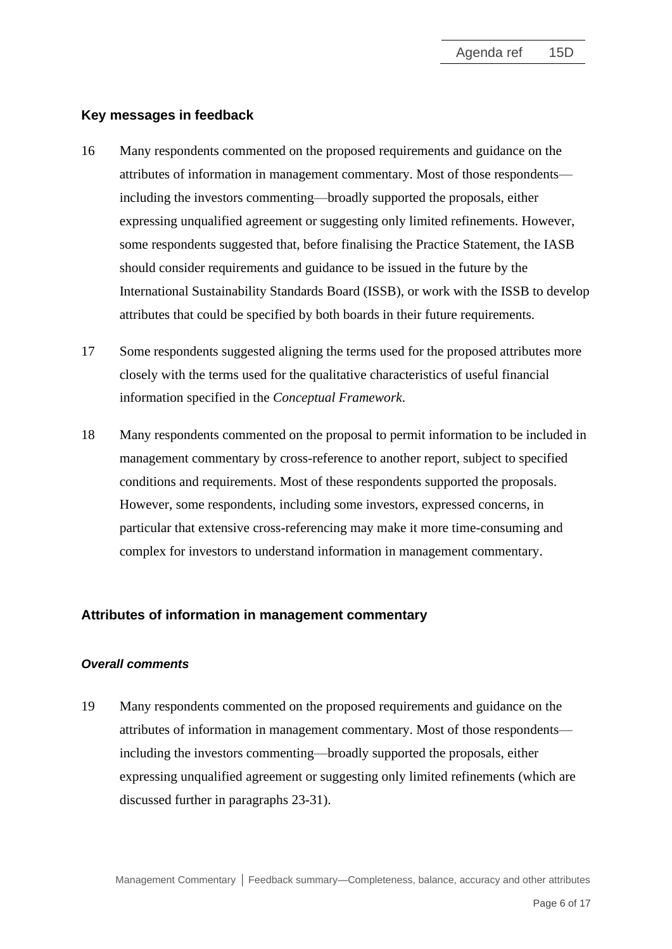#### **Key messages in feedback**

- <span id="page-5-0"></span>16 Many respondents commented on the proposed requirements and guidance on the attributes of information in management commentary. Most of those respondents including the investors commenting—broadly supported the proposals, either expressing unqualified agreement or suggesting only limited refinements. However, some respondents suggested that, before finalising the Practice Statement, the IASB should consider requirements and guidance to be issued in the future by the International Sustainability Standards Board (ISSB), or work with the ISSB to develop attributes that could be specified by both boards in their future requirements.
- 17 Some respondents suggested aligning the terms used for the proposed attributes more closely with the terms used for the qualitative characteristics of useful financial information specified in the *Conceptual Framework*.
- <span id="page-5-1"></span>18 Many respondents commented on the proposal to permit information to be included in management commentary by cross-reference to another report, subject to specified conditions and requirements. Most of these respondents supported the proposals. However, some respondents, including some investors, expressed concerns, in particular that extensive cross-referencing may make it more time-consuming and complex for investors to understand information in management commentary.

#### **Attributes of information in management commentary**

#### *Overall comments*

<span id="page-5-2"></span>19 Many respondents commented on the proposed requirements and guidance on the attributes of information in management commentary. Most of those respondents including the investors commenting—broadly supported the proposals, either expressing unqualified agreement or suggesting only limited refinements (which are discussed further in paragraphs [23](#page-8-0)[-31\)](#page-12-0).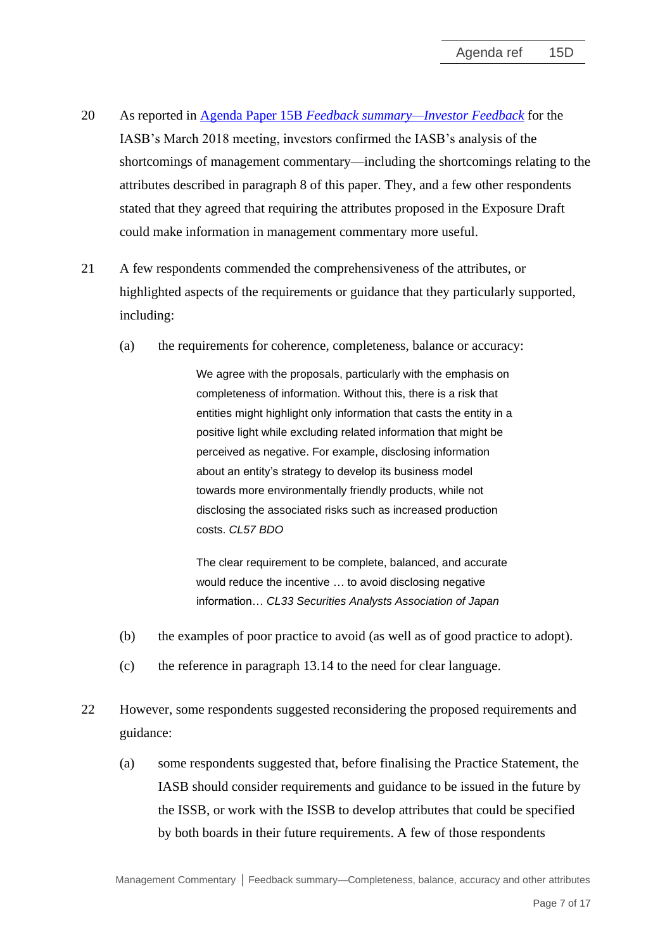- 20 As reported in Agenda Paper 15B *[Feedback summary—Investor Feedback](https://www.ifrs.org/content/dam/ifrs/meetings/2022/march/iasb/ap15b-investor-feedback.pdf)* for the IASB's March 2018 meeting, investors confirmed the IASB's analysis of the shortcomings of management commentary—including the shortcomings relating to the attributes described in paragraph [8](#page-2-0) of this paper. They, and a few other respondents stated that they agreed that requiring the attributes proposed in the Exposure Draft could make information in management commentary more useful.
- 21 A few respondents commended the comprehensiveness of the attributes, or highlighted aspects of the requirements or guidance that they particularly supported, including:
	- (a) the requirements for coherence, completeness, balance or accuracy:

We agree with the proposals, particularly with the emphasis on completeness of information. Without this, there is a risk that entities might highlight only information that casts the entity in a positive light while excluding related information that might be perceived as negative. For example, disclosing information about an entity's strategy to develop its business model towards more environmentally friendly products, while not disclosing the associated risks such as increased production costs. *CL57 BDO*

The clear requirement to be complete, balanced, and accurate would reduce the incentive … to avoid disclosing negative information… *CL33 Securities Analysts Association of Japan*

- (b) the examples of poor practice to avoid (as well as of good practice to adopt).
- (c) the reference in paragraph 13.14 to the need for clear language.
- 22 However, some respondents suggested reconsidering the proposed requirements and guidance:
	- (a) some respondents suggested that, before finalising the Practice Statement, the IASB should consider requirements and guidance to be issued in the future by the ISSB, or work with the ISSB to develop attributes that could be specified by both boards in their future requirements. A few of those respondents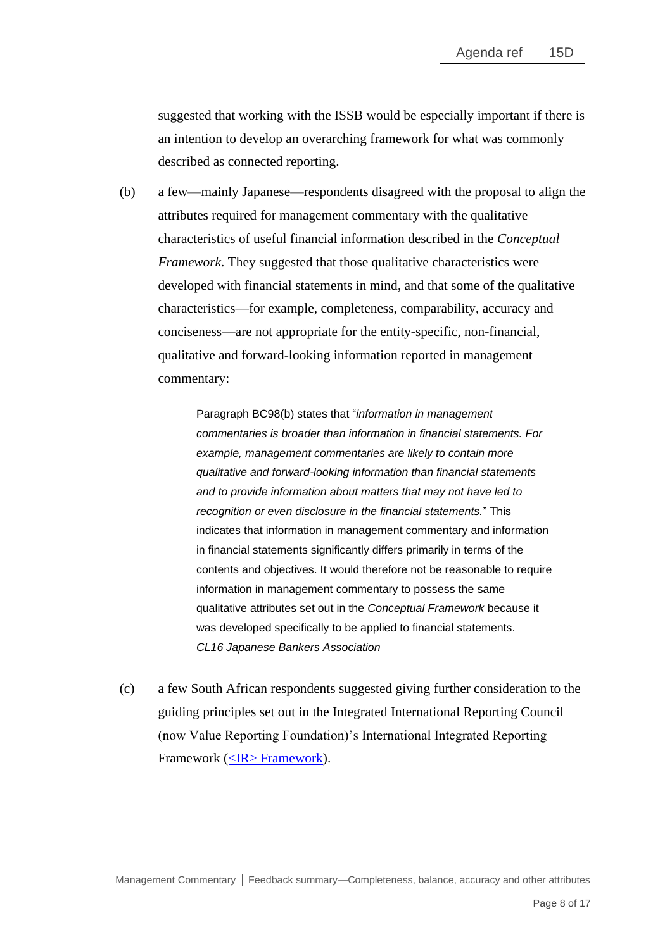suggested that working with the ISSB would be especially important if there is an intention to develop an overarching framework for what was commonly described as connected reporting.

(b) a few—mainly Japanese—respondents disagreed with the proposal to align the attributes required for management commentary with the qualitative characteristics of useful financial information described in the *Conceptual Framework*. They suggested that those qualitative characteristics were developed with financial statements in mind, and that some of the qualitative characteristics—for example, completeness, comparability, accuracy and conciseness—are not appropriate for the entity-specific, non-financial, qualitative and forward-looking information reported in management commentary:

> Paragraph BC98(b) states that "*information in management commentaries is broader than information in financial statements. For example, management commentaries are likely to contain more qualitative and forward-looking information than financial statements and to provide information about matters that may not have led to recognition or even disclosure in the financial statements.*" This indicates that information in management commentary and information in financial statements significantly differs primarily in terms of the contents and objectives. It would therefore not be reasonable to require information in management commentary to possess the same qualitative attributes set out in the *Conceptual Framework* because it was developed specifically to be applied to financial statements. *CL16 Japanese Bankers Association*

(c) a few South African respondents suggested giving further consideration to the guiding principles set out in the Integrated International Reporting Council (now Value Reporting Foundation)'s International Integrated Reporting Framework [\(<IR> Framework\)](https://www.integratedreporting.org/wp-content/uploads/2021/01/InternationalIntegratedReportingFramework.pdf).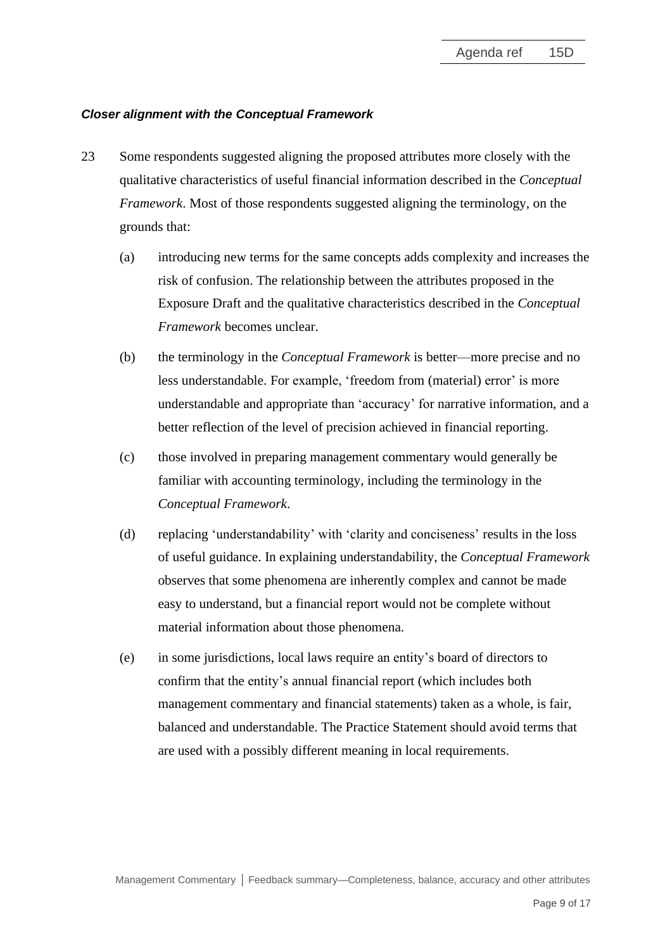# *Closer alignment with the Conceptual Framework*

- <span id="page-8-0"></span>23 Some respondents suggested aligning the proposed attributes more closely with the qualitative characteristics of useful financial information described in the *Conceptual Framework*. Most of those respondents suggested aligning the terminology, on the grounds that:
	- (a) introducing new terms for the same concepts adds complexity and increases the risk of confusion. The relationship between the attributes proposed in the Exposure Draft and the qualitative characteristics described in the *Conceptual Framework* becomes unclear.
	- (b) the terminology in the *Conceptual Framework* is better—more precise and no less understandable. For example, 'freedom from (material) error' is more understandable and appropriate than 'accuracy' for narrative information, and a better reflection of the level of precision achieved in financial reporting.
	- (c) those involved in preparing management commentary would generally be familiar with accounting terminology, including the terminology in the *Conceptual Framework*.
	- (d) replacing 'understandability' with 'clarity and conciseness' results in the loss of useful guidance. In explaining understandability, the *Conceptual Framework* observes that some phenomena are inherently complex and cannot be made easy to understand, but a financial report would not be complete without material information about those phenomena.
	- (e) in some jurisdictions, local laws require an entity's board of directors to confirm that the entity's annual financial report (which includes both management commentary and financial statements) taken as a whole, is fair, balanced and understandable. The Practice Statement should avoid terms that are used with a possibly different meaning in local requirements.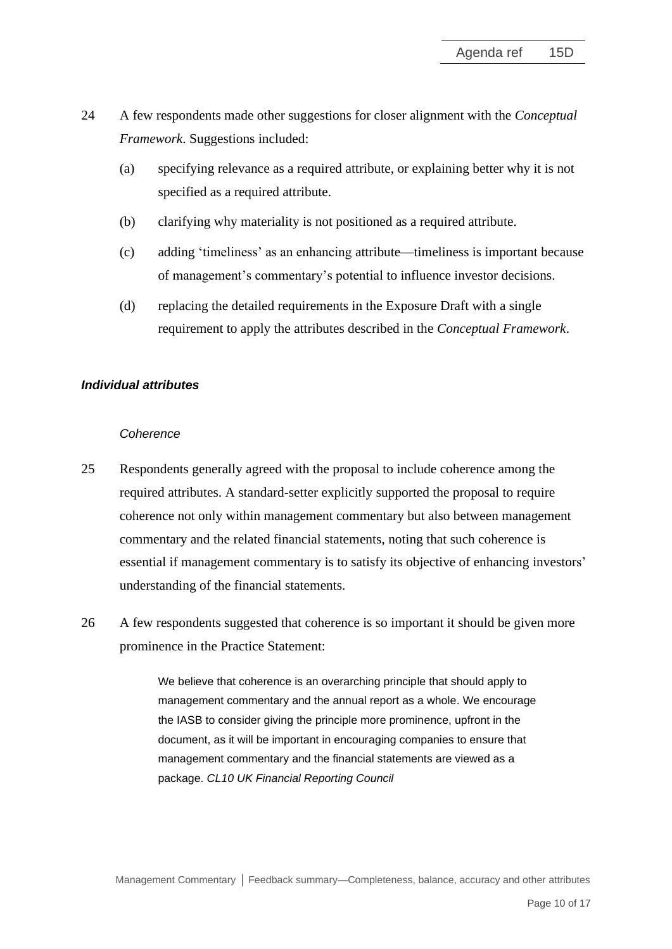- 24 A few respondents made other suggestions for closer alignment with the *Conceptual Framework*. Suggestions included:
	- (a) specifying relevance as a required attribute, or explaining better why it is not specified as a required attribute.
	- (b) clarifying why materiality is not positioned as a required attribute.
	- (c) adding 'timeliness' as an enhancing attribute—timeliness is important because of management's commentary's potential to influence investor decisions.
	- (d) replacing the detailed requirements in the Exposure Draft with a single requirement to apply the attributes described in the *Conceptual Framework*.

# *Individual attributes*

#### *Coherence*

- 25 Respondents generally agreed with the proposal to include coherence among the required attributes. A standard-setter explicitly supported the proposal to require coherence not only within management commentary but also between management commentary and the related financial statements, noting that such coherence is essential if management commentary is to satisfy its objective of enhancing investors' understanding of the financial statements.
- 26 A few respondents suggested that coherence is so important it should be given more prominence in the Practice Statement:

We believe that coherence is an overarching principle that should apply to management commentary and the annual report as a whole. We encourage the IASB to consider giving the principle more prominence, upfront in the document, as it will be important in encouraging companies to ensure that management commentary and the financial statements are viewed as a package. *CL10 UK Financial Reporting Council*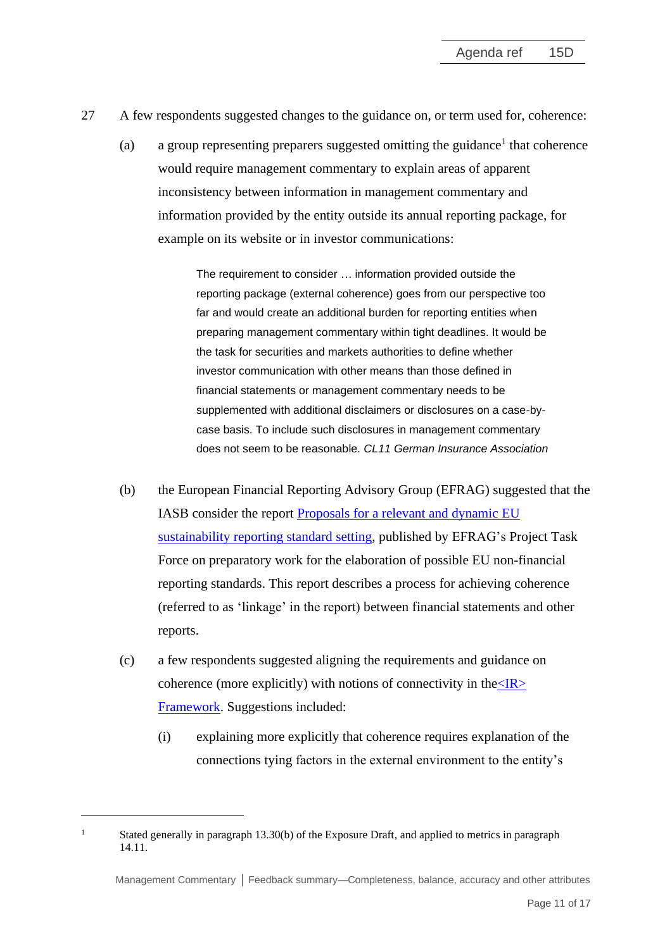- 27 A few respondents suggested changes to the guidance on, or term used for, coherence:
	- (a) a group representing preparers suggested omitting the guidance<sup>1</sup> that coherence would require management commentary to explain areas of apparent inconsistency between information in management commentary and information provided by the entity outside its annual reporting package, for example on its website or in investor communications:

The requirement to consider … information provided outside the reporting package (external coherence) goes from our perspective too far and would create an additional burden for reporting entities when preparing management commentary within tight deadlines. It would be the task for securities and markets authorities to define whether investor communication with other means than those defined in financial statements or management commentary needs to be supplemented with additional disclaimers or disclosures on a case-bycase basis. To include such disclosures in management commentary does not seem to be reasonable. *CL11 German Insurance Association*

- (b) the European Financial Reporting Advisory Group (EFRAG) suggested that the IASB consider the report [Proposals for a relevant and dynamic EU](https://www.efrag.org/Assets/Download?assetUrl=%2Fsites%2Fwebpublishing%2FSiteAssets%2FEFRAG%2520PTF-NFRS_MAIN_REPORT.pdf)  [sustainability reporting standard setting,](https://www.efrag.org/Assets/Download?assetUrl=%2Fsites%2Fwebpublishing%2FSiteAssets%2FEFRAG%2520PTF-NFRS_MAIN_REPORT.pdf) published by EFRAG's Project Task Force on preparatory work for the elaboration of possible EU non-financial reporting standards. This report describes a process for achieving coherence (referred to as 'linkage' in the report) between financial statements and other reports.
- (c) a few respondents suggested aligning the requirements and guidance on coherence (more explicitly) with notions of connectivity in the  $\langle IR \rangle$ [Framework.](https://www.integratedreporting.org/wp-content/uploads/2021/01/InternationalIntegratedReportingFramework.pdf) Suggestions included:
	- (i) explaining more explicitly that coherence requires explanation of the connections tying factors in the external environment to the entity's

<sup>&</sup>lt;sup>1</sup> Stated generally in paragraph 13.30(b) of the Exposure Draft, and applied to metrics in paragraph 14.11.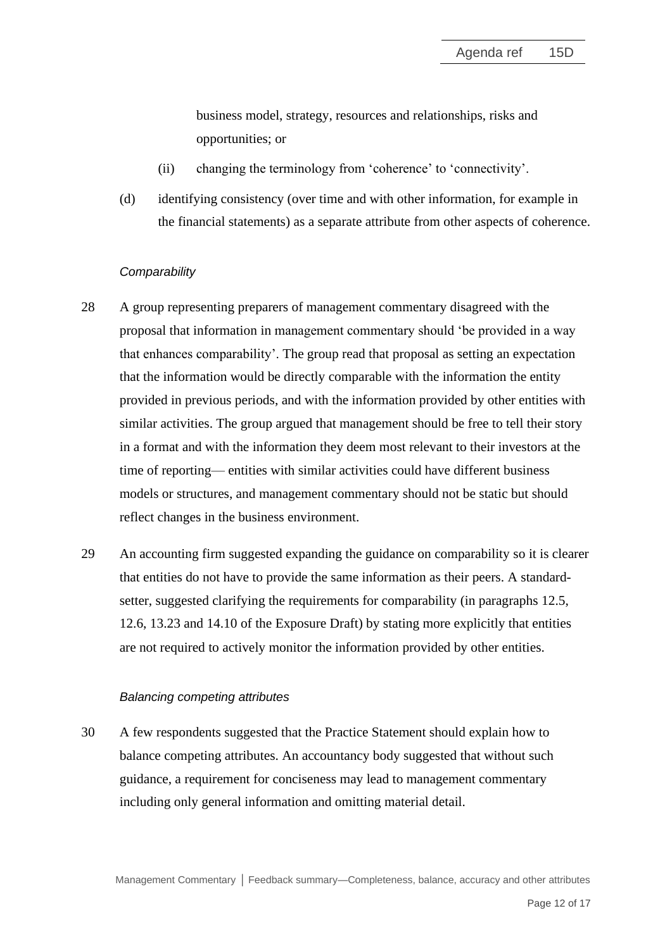business model, strategy, resources and relationships, risks and opportunities; or

- (ii) changing the terminology from 'coherence' to 'connectivity'.
- (d) identifying consistency (over time and with other information, for example in the financial statements) as a separate attribute from other aspects of coherence.

#### *Comparability*

- 28 A group representing preparers of management commentary disagreed with the proposal that information in management commentary should 'be provided in a way that enhances comparability'. The group read that proposal as setting an expectation that the information would be directly comparable with the information the entity provided in previous periods, and with the information provided by other entities with similar activities. The group argued that management should be free to tell their story in a format and with the information they deem most relevant to their investors at the time of reporting— entities with similar activities could have different business models or structures, and management commentary should not be static but should reflect changes in the business environment.
- 29 An accounting firm suggested expanding the guidance on comparability so it is clearer that entities do not have to provide the same information as their peers. A standardsetter, suggested clarifying the requirements for comparability (in paragraphs 12.5, 12.6, 13.23 and 14.10 of the Exposure Draft) by stating more explicitly that entities are not required to actively monitor the information provided by other entities.

#### *Balancing competing attributes*

30 A few respondents suggested that the Practice Statement should explain how to balance competing attributes. An accountancy body suggested that without such guidance, a requirement for conciseness may lead to management commentary including only general information and omitting material detail.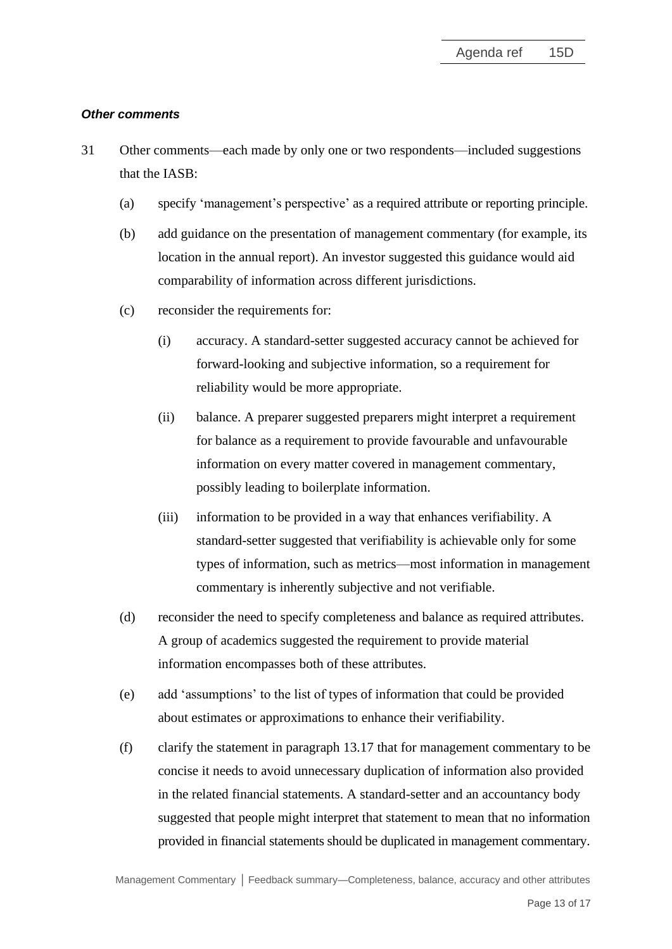#### *Other comments*

- <span id="page-12-0"></span>31 Other comments—each made by only one or two respondents—included suggestions that the IASB:
	- (a) specify 'management's perspective' as a required attribute or reporting principle.
	- (b) add guidance on the presentation of management commentary (for example, its location in the annual report). An investor suggested this guidance would aid comparability of information across different jurisdictions.
	- (c) reconsider the requirements for:
		- (i) accuracy. A standard-setter suggested accuracy cannot be achieved for forward-looking and subjective information, so a requirement for reliability would be more appropriate.
		- (ii) balance. A preparer suggested preparers might interpret a requirement for balance as a requirement to provide favourable and unfavourable information on every matter covered in management commentary, possibly leading to boilerplate information.
		- (iii) information to be provided in a way that enhances verifiability. A standard-setter suggested that verifiability is achievable only for some types of information, such as metrics—most information in management commentary is inherently subjective and not verifiable.
	- (d) reconsider the need to specify completeness and balance as required attributes. A group of academics suggested the requirement to provide material information encompasses both of these attributes.
	- (e) add 'assumptions' to the list of types of information that could be provided about estimates or approximations to enhance their verifiability.
	- (f) clarify the statement in paragraph 13.17 that for management commentary to be concise it needs to avoid unnecessary duplication of information also provided in the related financial statements. A standard-setter and an accountancy body suggested that people might interpret that statement to mean that no information provided in financial statements should be duplicated in management commentary.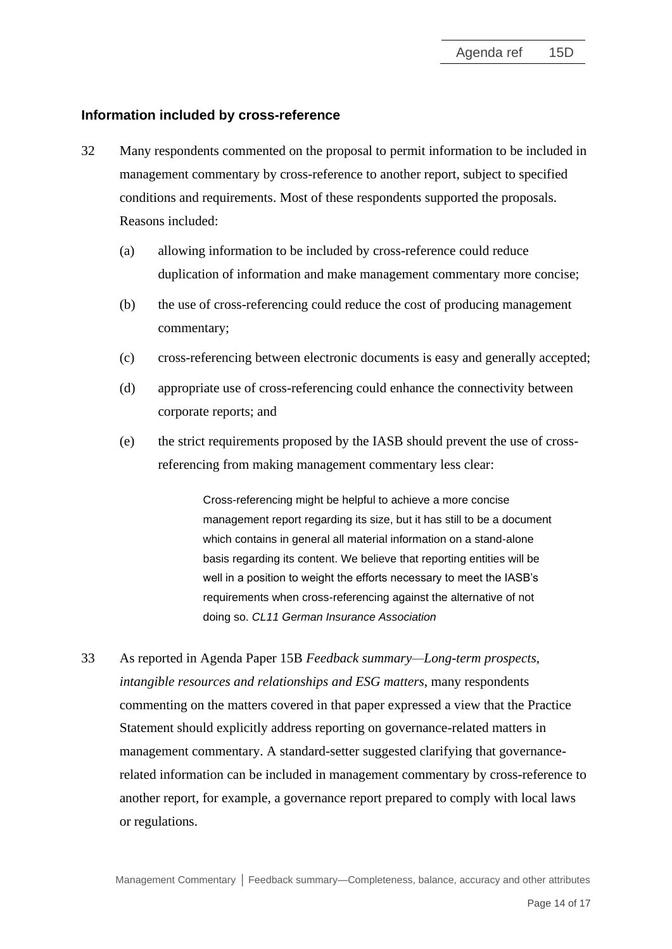#### **Information included by cross-reference**

- <span id="page-13-0"></span>32 Many respondents commented on the proposal to permit information to be included in management commentary by cross-reference to another report, subject to specified conditions and requirements. Most of these respondents supported the proposals. Reasons included:
	- (a) allowing information to be included by cross-reference could reduce duplication of information and make management commentary more concise;
	- (b) the use of cross-referencing could reduce the cost of producing management commentary;
	- (c) cross-referencing between electronic documents is easy and generally accepted;
	- (d) appropriate use of cross-referencing could enhance the connectivity between corporate reports; and
	- (e) the strict requirements proposed by the IASB should prevent the use of crossreferencing from making management commentary less clear:

Cross-referencing might be helpful to achieve a more concise management report regarding its size, but it has still to be a document which contains in general all material information on a stand-alone basis regarding its content. We believe that reporting entities will be well in a position to weight the efforts necessary to meet the IASB's requirements when cross-referencing against the alternative of not doing so. *CL11 German Insurance Association*

33 As reported in Agenda Paper 15B *Feedback summary—Long-term prospects, intangible resources and relationships and ESG matters*, many respondents commenting on the matters covered in that paper expressed a view that the Practice Statement should explicitly address reporting on governance-related matters in management commentary. A standard-setter suggested clarifying that governancerelated information can be included in management commentary by cross-reference to another report, for example, a governance report prepared to comply with local laws or regulations.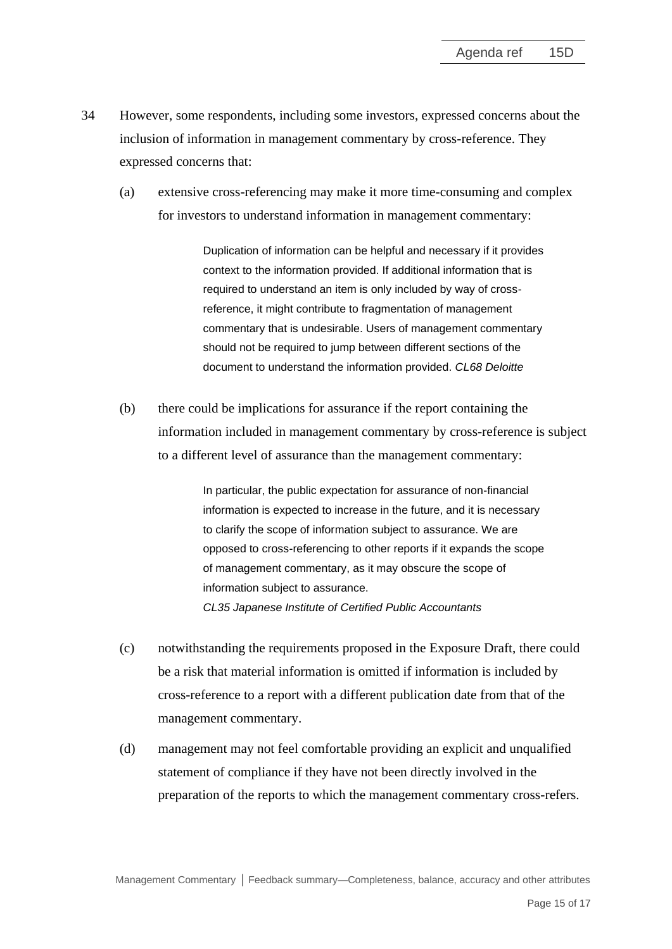- 34 However, some respondents, including some investors, expressed concerns about the inclusion of information in management commentary by cross-reference. They expressed concerns that:
	- (a) extensive cross-referencing may make it more time-consuming and complex for investors to understand information in management commentary:

Duplication of information can be helpful and necessary if it provides context to the information provided. If additional information that is required to understand an item is only included by way of crossreference, it might contribute to fragmentation of management commentary that is undesirable. Users of management commentary should not be required to jump between different sections of the document to understand the information provided. *CL68 Deloitte*

(b) there could be implications for assurance if the report containing the information included in management commentary by cross-reference is subject to a different level of assurance than the management commentary:

> In particular, the public expectation for assurance of non-financial information is expected to increase in the future, and it is necessary to clarify the scope of information subject to assurance. We are opposed to cross-referencing to other reports if it expands the scope of management commentary, as it may obscure the scope of information subject to assurance. *CL35 Japanese Institute of Certified Public Accountants*

- (c) notwithstanding the requirements proposed in the Exposure Draft, there could be a risk that material information is omitted if information is included by cross-reference to a report with a different publication date from that of the management commentary.
- (d) management may not feel comfortable providing an explicit and unqualified statement of compliance if they have not been directly involved in the preparation of the reports to which the management commentary cross-refers.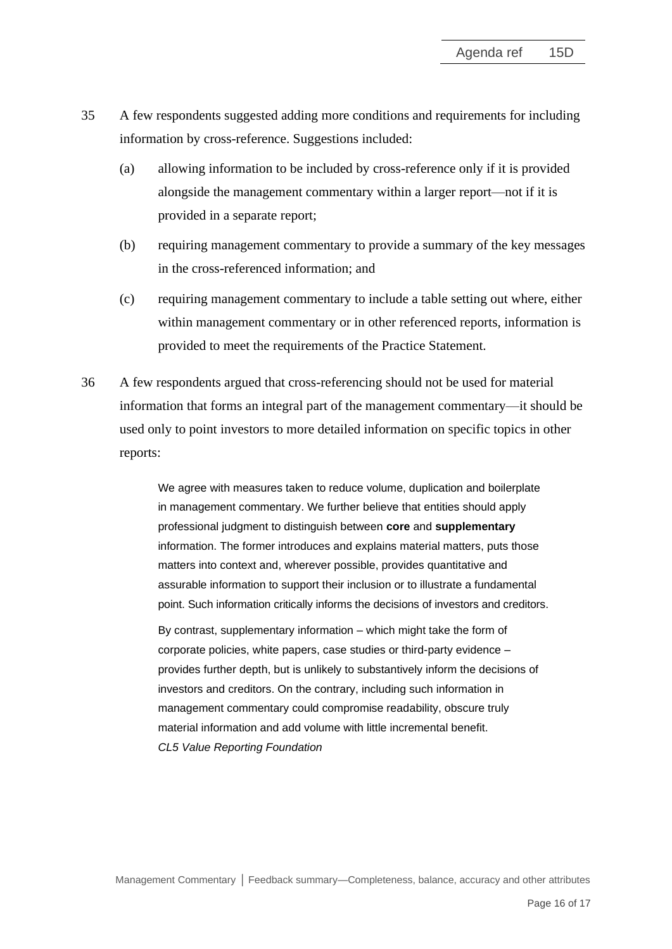- 35 A few respondents suggested adding more conditions and requirements for including information by cross-reference. Suggestions included:
	- (a) allowing information to be included by cross-reference only if it is provided alongside the management commentary within a larger report—not if it is provided in a separate report;
	- (b) requiring management commentary to provide a summary of the key messages in the cross-referenced information; and
	- (c) requiring management commentary to include a table setting out where, either within management commentary or in other referenced reports, information is provided to meet the requirements of the Practice Statement.
- <span id="page-15-0"></span>36 A few respondents argued that cross-referencing should not be used for material information that forms an integral part of the management commentary—it should be used only to point investors to more detailed information on specific topics in other reports:

We agree with measures taken to reduce volume, duplication and boilerplate in management commentary. We further believe that entities should apply professional judgment to distinguish between **core** and **supplementary** information. The former introduces and explains material matters, puts those matters into context and, wherever possible, provides quantitative and assurable information to support their inclusion or to illustrate a fundamental point. Such information critically informs the decisions of investors and creditors.

By contrast, supplementary information – which might take the form of corporate policies, white papers, case studies or third-party evidence – provides further depth, but is unlikely to substantively inform the decisions of investors and creditors. On the contrary, including such information in management commentary could compromise readability, obscure truly material information and add volume with little incremental benefit. *CL5 Value Reporting Foundation*